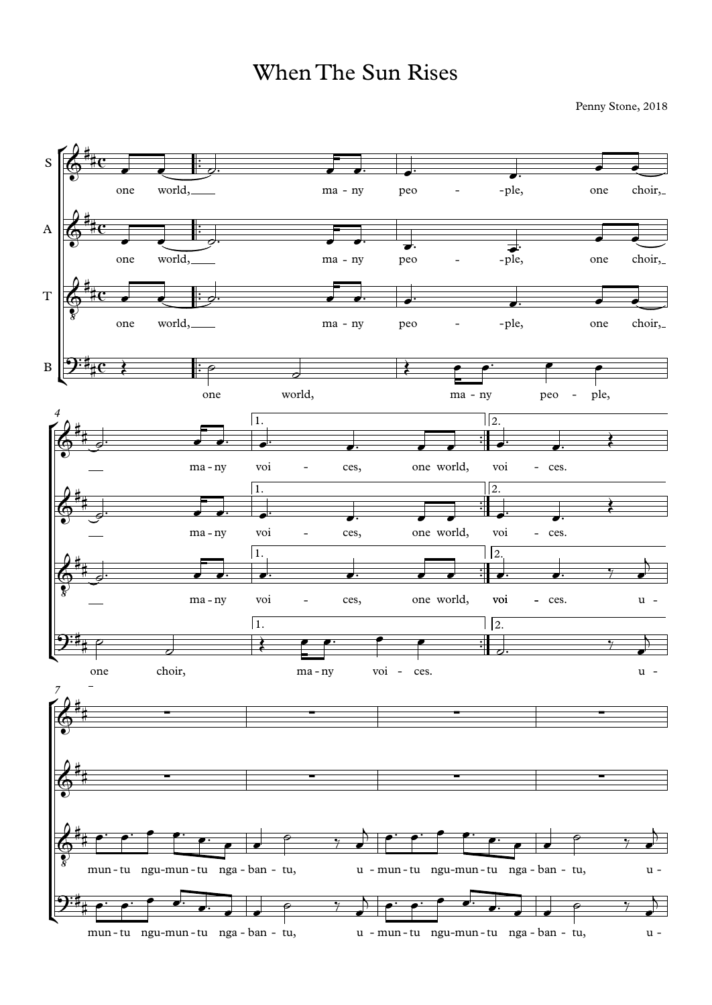## When The Sun Rises

Penny Stone, 2018

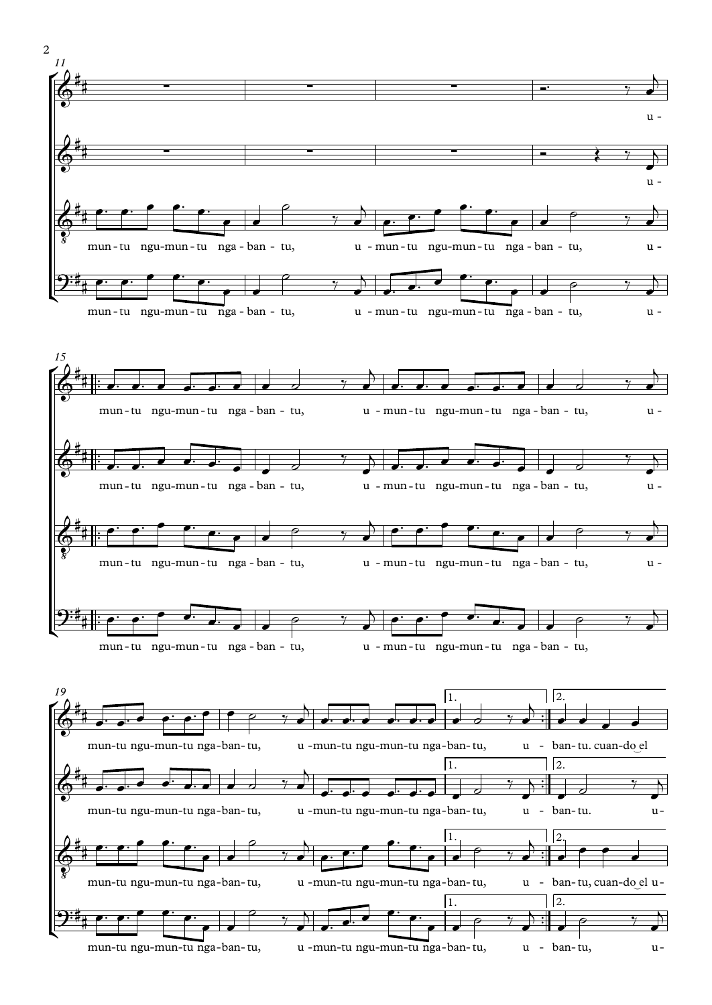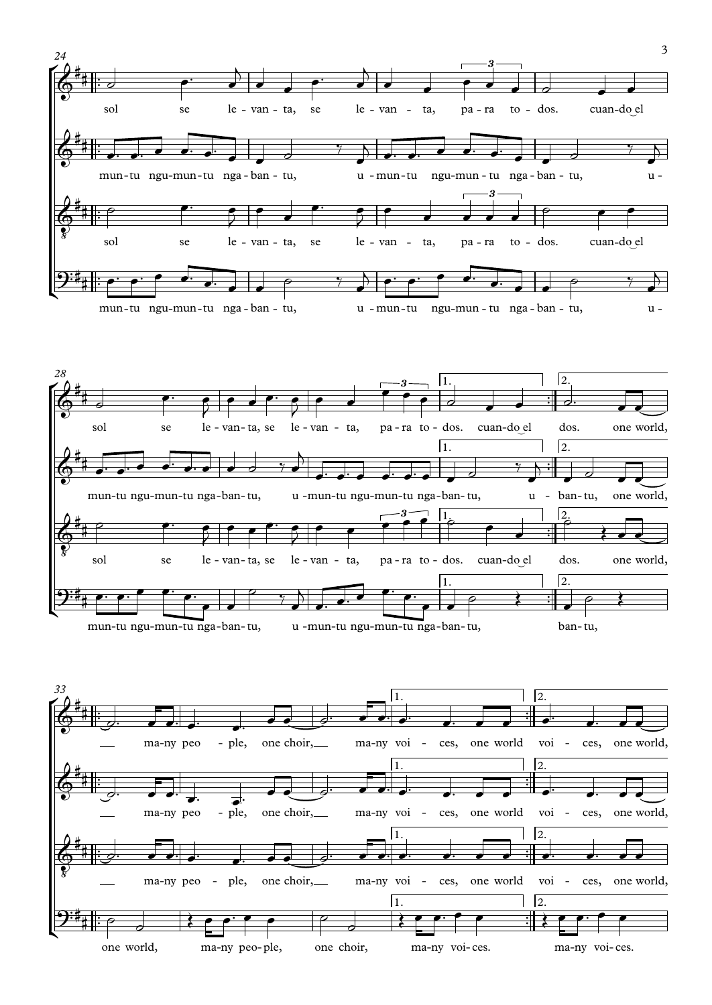



mun-tu ngu-mun-tu nga-ban-tu, u -mun-tu ngu-mun-tu nga-ban-tu, ban-tu,

 $\frac{1}{2}$ 

#

™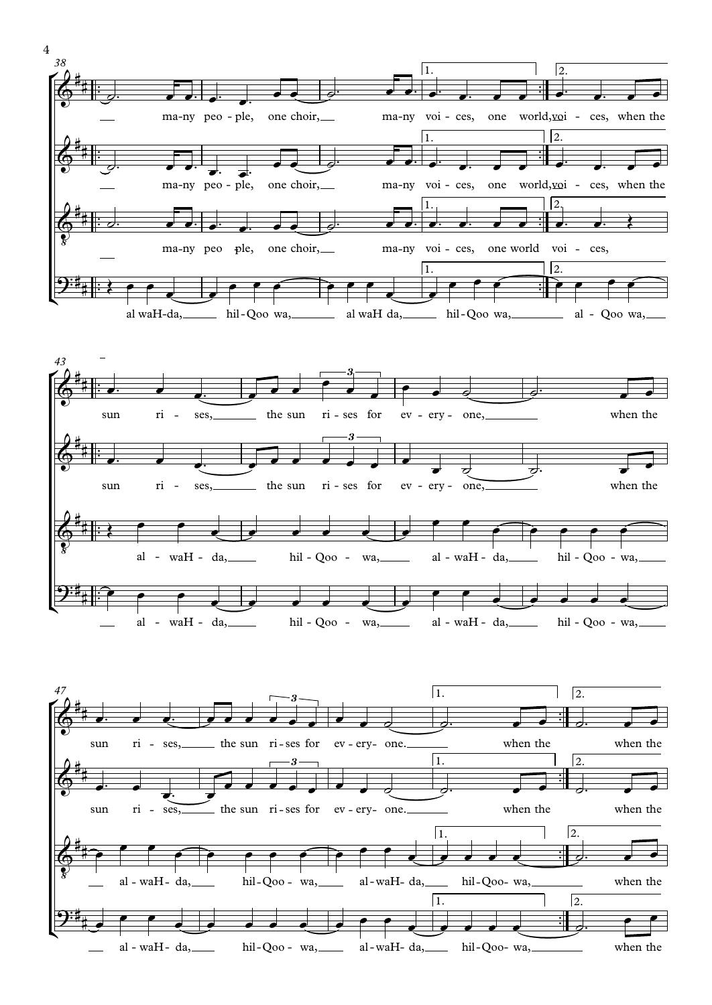